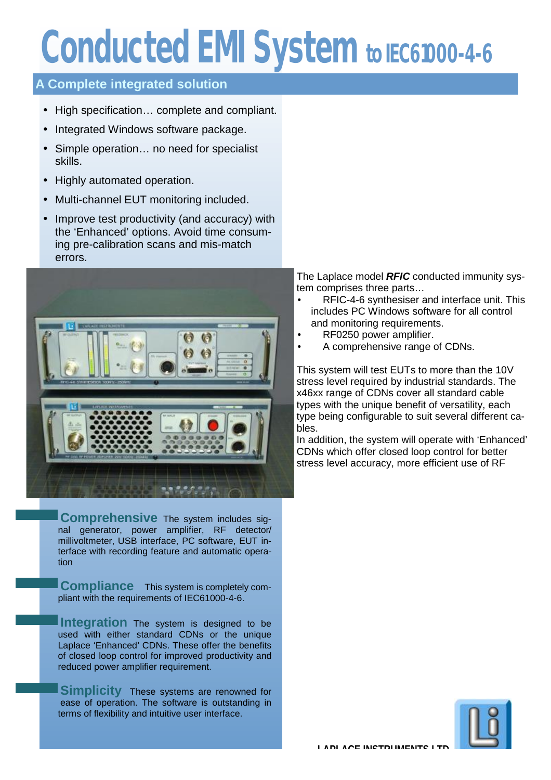# **Conducted EMI System to IEC61000-4-6**

# **A Complete integrated solution**

- High specification… complete and compliant.
- Integrated Windows software package.
- Simple operation... no need for specialist skills.
- Highly automated operation.
- Multi-channel EUT monitoring included.
- Improve test productivity (and accuracy) with the 'Enhanced' options. Avoid time consuming pre-calibration scans and mis-match errors.



**Comprehensive** The system includes signal generator, power amplifier, RF detector/ millivoltmeter, USB interface, PC software, EUT interface with recording feature and automatic operation

**Compliance** This system is completely compliant with the requirements of IEC61000-4-6.

**Integration** The system is designed to be used with either standard CDNs or the unique Laplace 'Enhanced' CDNs. These offer the benefits of closed loop control for improved productivity and reduced power amplifier requirement.

**Simplicity** These systems are renowned for ease of operation. The software is outstanding in terms of flexibility and intuitive user interface.

The Laplace model *RFIC* conducted immunity system comprises three parts…

- RFIC-4-6 synthesiser and interface unit. This includes PC Windows software for all control and monitoring requirements.
- RF0250 power amplifier.
- A comprehensive range of CDNs.

This system will test EUTs to more than the 10V stress level required by industrial standards. The x46xx range of CDNs cover all standard cable types with the unique benefit of versatility, each type being configurable to suit several different cables.

In addition, the system will operate with 'Enhanced' CDNs which offer closed loop control for better stress level accuracy, more efficient use of RF